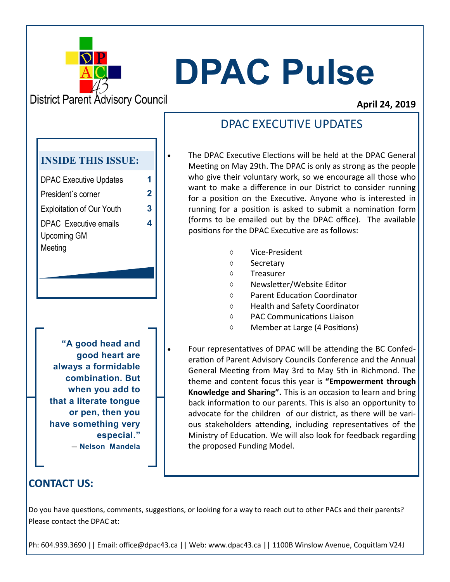

# **DPAC Pulse**

**District Parent Advisory Council** 

DPAC Executive Updates **1** President´s corner **2**

**INSIDE THIS ISSUE:**

Exploitation of Our Youth **3**

**4**

DPAC Executive emails

Upcoming GM

Meeting

#### **April 24, 2019**

## DPAC EXECUTIVE UPDATES

- The DPAC Executive Elections will be held at the DPAC General Meeting on May 29th. The DPAC is only as strong as the people who give their voluntary work, so we encourage all those who want to make a difference in our District to consider running for a position on the Executive. Anyone who is interested in running for a position is asked to submit a nomination form (forms to be emailed out by the DPAC office). The available positions for the DPAC Executive are as follows:
	- Vice-President
	- ♦ Secretary
	- Treasurer
	- Newsletter/Website Editor
	- Parent Education Coordinator
	- Health and Safety Coordinator
	- PAC Communications Liaison
	- Member at Large (4 Positions)

**"A good head and good heart are always a formidable combination. But when you add to that a literate tongue or pen, then you have something very especial."**  ― **Nelson Mandela** 

• Four representatives of DPAC will be attending the BC Confederation of Parent Advisory Councils Conference and the Annual General Meeting from May 3rd to May 5th in Richmond. The theme and content focus this year is **"Empowerment through Knowledge and Sharing".** This is an occasion to learn and bring back information to our parents. This is also an opportunity to advocate for the children of our district, as there will be various stakeholders attending, including representatives of the Ministry of Education. We will also look for feedback regarding the proposed Funding Model.

### **CONTACT US:**

Do you have questions, comments, suggestions, or looking for a way to reach out to other PACs and their parents? Please contact the DPAC at:

Ph: 604.939.3690 || Email: office@dpac43.ca || Web: www.dpac43.ca || 1100B Winslow Avenue, Coquitlam V24J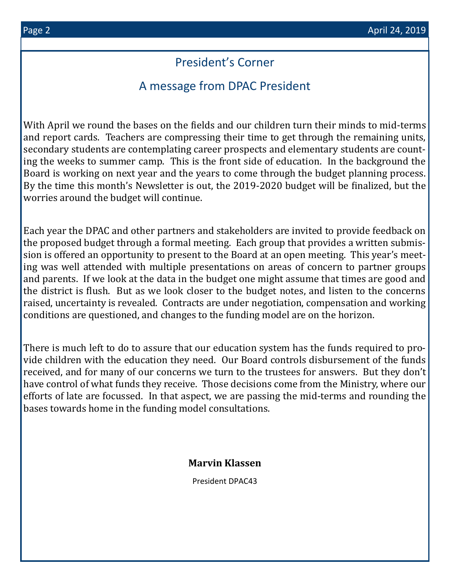## President's Corner

## A message from DPAC President

With April we round the bases on the fields and our children turn their minds to mid-terms and report cards. Teachers are compressing their time to get through the remaining units, secondary students are contemplating career prospects and elementary students are counting the weeks to summer camp. This is the front side of education. In the background the Board is working on next year and the years to come through the budget planning process. By the time this month's Newsletter is out, the 2019-2020 budget will be finalized, but the worries around the budget will continue.

Each year the DPAC and other partners and stakeholders are invited to provide feedback on the proposed budget through a formal meeting. Each group that provides a written submission is offered an opportunity to present to the Board at an open meeting. This year's meeting was well attended with multiple presentations on areas of concern to partner groups and parents. If we look at the data in the budget one might assume that times are good and the district is flush. But as we look closer to the budget notes, and listen to the concerns raised, uncertainty is revealed. Contracts are under negotiation, compensation and working conditions are questioned, and changes to the funding model are on the horizon.

There is much left to do to assure that our education system has the funds required to provide children with the education they need. Our Board controls disbursement of the funds received, and for many of our concerns we turn to the trustees for answers. But they don't have control of what funds they receive. Those decisions come from the Ministry, where our efforts of late are focussed. In that aspect, we are passing the mid-terms and rounding the bases towards home in the funding model consultations.

#### **Marvin Klassen**

President DPAC43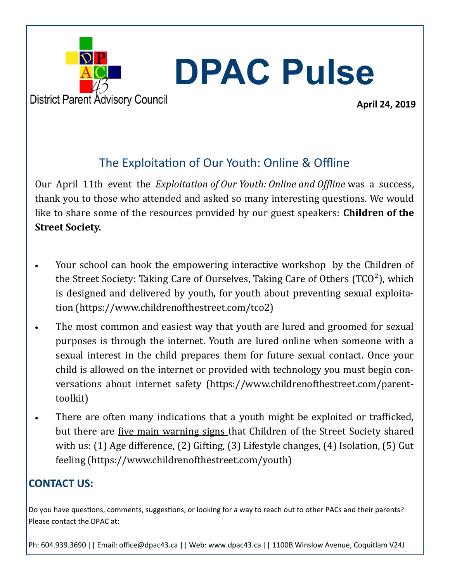

# **DPAC Pulse**

**April 24, 2019**

## The Exploitation of Our Youth: Online & Offline

Our April 11th event the *Exploitation of Our Youth: Online and Offline* was a success, thank you to those who attended and asked so many interesting questions. We would like to share some of the resources provided by our guest speakers: **Children of the Street Society.** 

- Your school can book the empowering interactive workshop by the Children of the Street Society: Taking Care of Ourselves, Taking Care of Others  $(TCO<sup>2</sup>)$ , which is designed and delivered by youth, for youth about preventing sexual exploitation (https://www.childrenofthestreet.com/tco2)
- The most common and easiest way that youth are lured and groomed for sexual purposes is through the internet. Youth are lured online when someone with a sexual interest in the child prepares them for future sexual contact. Once your child is allowed on the internet or provided with technology you must begin conversations about internet safety (https://www.childrenofthestreet.com/parenttoolkit)
- There are often many indications that a youth might be exploited or trafficked, but there are five main warning signs that Children of the Street Society shared with us: (1) Age difference, (2) Gifting, (3) Lifestyle changes, (4) Isolation, (5) Gut feeling (https://www.childrenofthestreet.com/youth)

## **CONTACT US:**

Do you have questions, comments, suggestions, or looking for a way to reach out to other PACs and their parents? Please contact the DPAC at:

Ph: 604.939.3690 || Email: office@dpac43.ca || Web: www.dpac43.ca || 1100B Winslow Avenue, Coquitlam V24J